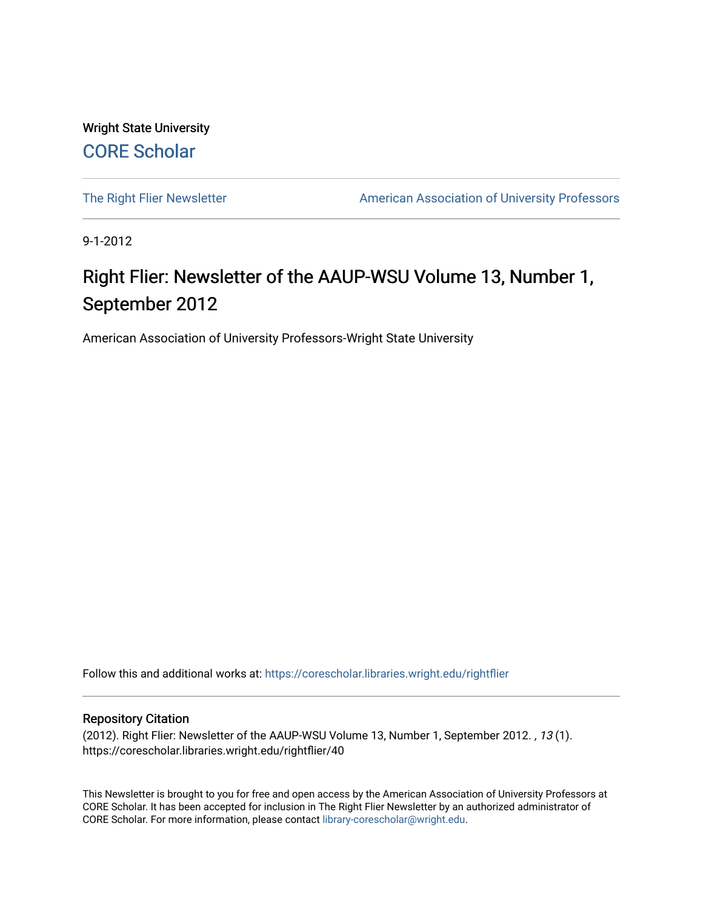Wright State University [CORE Scholar](https://corescholar.libraries.wright.edu/)

[The Right Flier Newsletter](https://corescholar.libraries.wright.edu/rightflier) **American Association of University Professors** 

9-1-2012

#### Right Flier: Newsletter of the AAUP-WSU Volume 13, Number 1, September 2012

American Association of University Professors-Wright State University

Follow this and additional works at: [https://corescholar.libraries.wright.edu/rightflier](https://corescholar.libraries.wright.edu/rightflier?utm_source=corescholar.libraries.wright.edu%2Frightflier%2F40&utm_medium=PDF&utm_campaign=PDFCoverPages) 

#### Repository Citation

(2012). Right Flier: Newsletter of the AAUP-WSU Volume 13, Number 1, September 2012. , 13 (1). https://corescholar.libraries.wright.edu/rightflier/40

This Newsletter is brought to you for free and open access by the American Association of University Professors at CORE Scholar. It has been accepted for inclusion in The Right Flier Newsletter by an authorized administrator of CORE Scholar. For more information, please contact [library-corescholar@wright.edu](mailto:library-corescholar@wright.edu).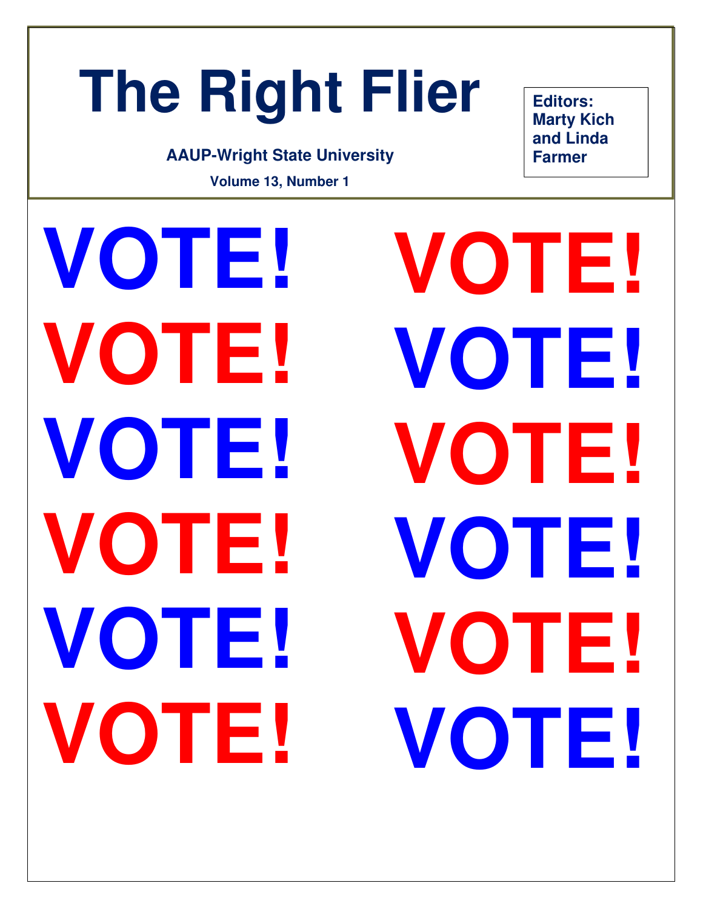# **The Right Flier**

#### **AAUP-Wright State University**

**Volume 13, Number 1** 

**Editors: Marty Kich and Linda Farmer** 

**VOTE! VOTE! VOTE! VOTE! VOTE! VOTE! VOTE! VOTE! VOTE! VOTE! VOTE! VOTE!**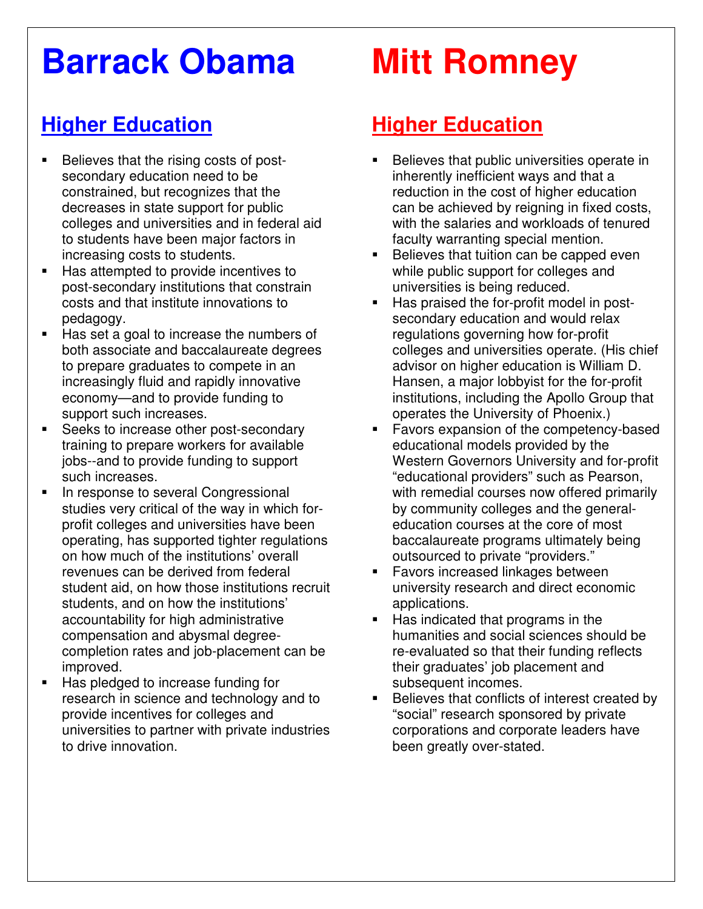## **Barrack Obama**

### **Higher Education**

- Believes that the rising costs of postsecondary education need to be constrained, but recognizes that the decreases in state support for public colleges and universities and in federal aid to students have been major factors in increasing costs to students.
- Has attempted to provide incentives to post-secondary institutions that constrain costs and that institute innovations to pedagogy.
- Has set a goal to increase the numbers of both associate and baccalaureate degrees to prepare graduates to compete in an increasingly fluid and rapidly innovative economy—and to provide funding to support such increases.
- **Seeks to increase other post-secondary** training to prepare workers for available jobs--and to provide funding to support such increases.
- In response to several Congressional studies very critical of the way in which forprofit colleges and universities have been operating, has supported tighter regulations on how much of the institutions' overall revenues can be derived from federal student aid, on how those institutions recruit students, and on how the institutions' accountability for high administrative compensation and abysmal degreecompletion rates and job-placement can be improved.
- Has pledged to increase funding for research in science and technology and to provide incentives for colleges and universities to partner with private industries to drive innovation.

## **Mitt Romney**

#### **Higher Education**

- Believes that public universities operate in inherently inefficient ways and that a reduction in the cost of higher education can be achieved by reigning in fixed costs, with the salaries and workloads of tenured faculty warranting special mention.
- Believes that tuition can be capped even while public support for colleges and universities is being reduced.
- Has praised the for-profit model in postsecondary education and would relax regulations governing how for-profit colleges and universities operate. (His chief advisor on higher education is William D. Hansen, a major lobbyist for the for-profit institutions, including the Apollo Group that operates the University of Phoenix.)
- Favors expansion of the competency-based educational models provided by the Western Governors University and for-profit "educational providers" such as Pearson, with remedial courses now offered primarily by community colleges and the generaleducation courses at the core of most baccalaureate programs ultimately being outsourced to private "providers."
- **Favors increased linkages between** university research and direct economic applications.
- Has indicated that programs in the humanities and social sciences should be re-evaluated so that their funding reflects their graduates' job placement and subsequent incomes.
- Believes that conflicts of interest created by "social" research sponsored by private corporations and corporate leaders have been greatly over-stated.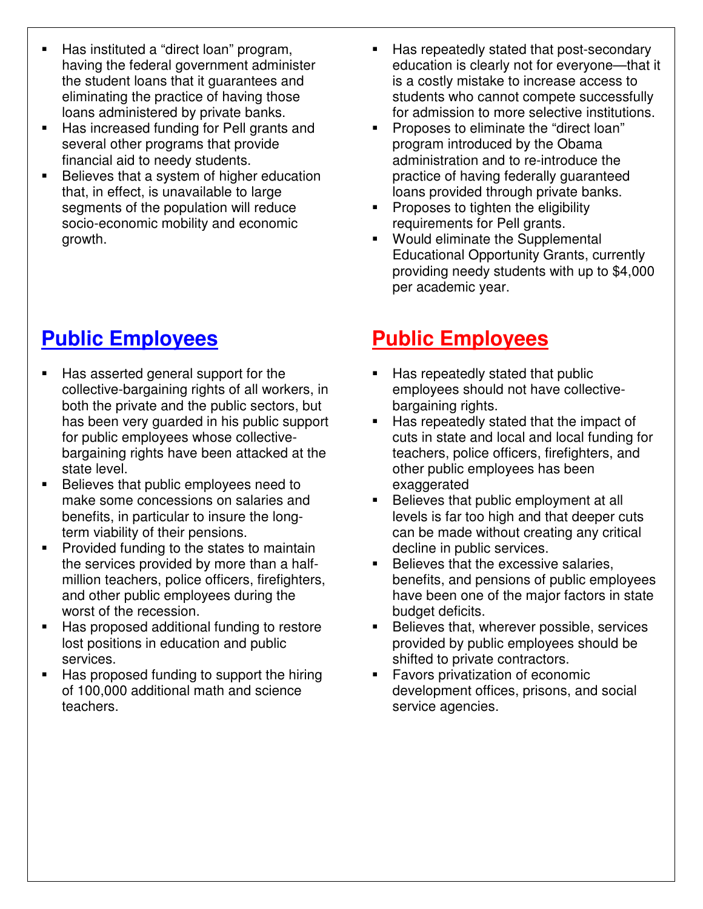- Has instituted a "direct loan" program, having the federal government administer the student loans that it guarantees and eliminating the practice of having those loans administered by private banks.
- Has increased funding for Pell grants and several other programs that provide financial aid to needy students.
- **Believes that a system of higher education** that, in effect, is unavailable to large segments of the population will reduce socio-economic mobility and economic growth.

### **Public Employees**

- Has asserted general support for the collective-bargaining rights of all workers, in both the private and the public sectors, but has been very guarded in his public support for public employees whose collectivebargaining rights have been attacked at the state level.
- Believes that public employees need to make some concessions on salaries and benefits, in particular to insure the longterm viability of their pensions.
- **Provided funding to the states to maintain** the services provided by more than a halfmillion teachers, police officers, firefighters, and other public employees during the worst of the recession.
- Has proposed additional funding to restore lost positions in education and public services.
- Has proposed funding to support the hiring of 100,000 additional math and science teachers.
- Has repeatedly stated that post-secondary education is clearly not for everyone—that it is a costly mistake to increase access to students who cannot compete successfully for admission to more selective institutions.
- **Proposes to eliminate the "direct loan"** program introduced by the Obama administration and to re-introduce the practice of having federally guaranteed loans provided through private banks.
- **Proposes to tighten the eligibility** requirements for Pell grants.
- Would eliminate the Supplemental Educational Opportunity Grants, currently providing needy students with up to \$4,000 per academic year.

#### **Public Employees**

- Has repeatedly stated that public employees should not have collectivebargaining rights.
- **Has repeatedly stated that the impact of** cuts in state and local and local funding for teachers, police officers, firefighters, and other public employees has been exaggerated
- Believes that public employment at all levels is far too high and that deeper cuts can be made without creating any critical decline in public services.
- **Believes that the excessive salaries,** benefits, and pensions of public employees have been one of the major factors in state budget deficits.
- **Believes that, wherever possible, services** provided by public employees should be shifted to private contractors.
- **Favors privatization of economic** development offices, prisons, and social service agencies.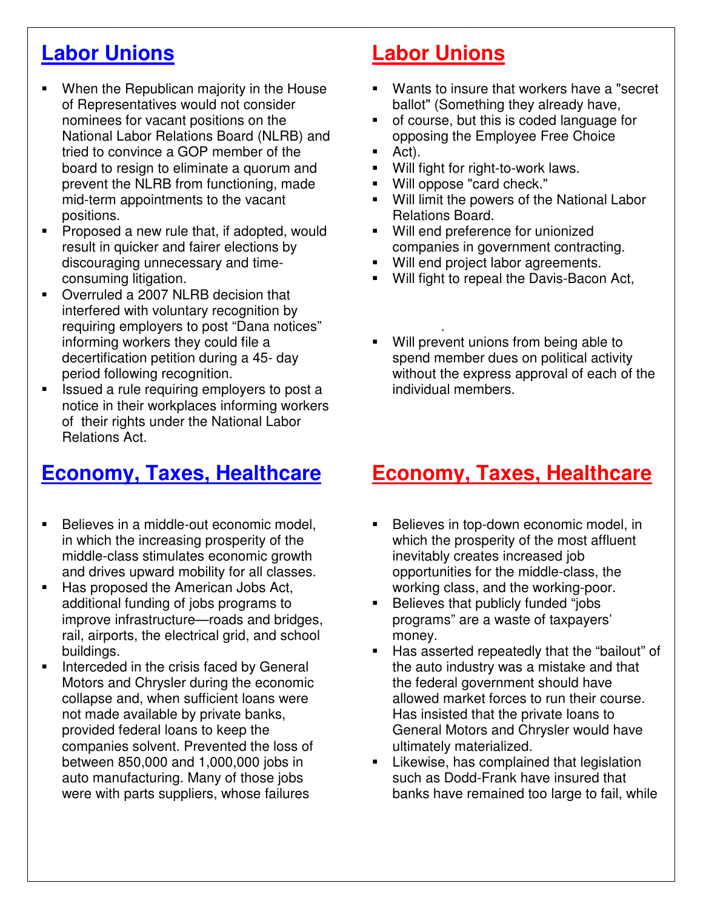#### **Labor Unions**

- When the Republican majority in the House of Representatives would not consider nominees for vacant positions on the National Labor Relations Board (NLRB) and tried to convince a GOP member of the board to resign to eliminate a quorum and prevent the NLRB from functioning, made mid-term appointments to the vacant positions.
- Proposed a new rule that, if adopted, would result in quicker and fairer elections by discouraging unnecessary and timeconsuming litigation.
- Overruled a 2007 NLRB decision that interfered with voluntary recognition by requiring employers to post "Dana notices" informing workers they could file a decertification petition during a 45- day period following recognition.
- Issued a rule requiring employers to post a notice in their workplaces informing workers of their rights under the National Labor Relations Act.

#### **Economy, Taxes, Healthcare**

- Believes in a middle-out economic model, in which the increasing prosperity of the middle-class stimulates economic growth and drives upward mobility for all classes.
- Has proposed the American Jobs Act, additional funding of jobs programs to improve infrastructure—roads and bridges, rail, airports, the electrical grid, and school buildings.
- **Interceded in the crisis faced by General** Motors and Chrysler during the economic collapse and, when sufficient loans were not made available by private banks, provided federal loans to keep the companies solvent. Prevented the loss of between 850,000 and 1,000,000 jobs in auto manufacturing. Many of those jobs were with parts suppliers, whose failures

#### **Labor Unions**

- Wants to insure that workers have a "secret ballot" (Something they already have,
- of course, but this is coded language for opposing the Employee Free Choice
- Act).
- Will fight for right-to-work laws.
- Will oppose "card check."
- **Will limit the powers of the National Labor** Relations Board.
- Will end preference for unionized companies in government contracting.
- **Will end project labor agreements.**
- Will fight to repeal the Davis-Bacon Act,
- projects. Will prevent unions from being able to spend member dues on political activity without the express approval of each of the individual members.

#### **Economy, Taxes, Healthcare**

- Believes in top-down economic model, in which the prosperity of the most affluent inevitably creates increased job opportunities for the middle-class, the working class, and the working-poor.
- Believes that publicly funded "jobs programs" are a waste of taxpayers' money.
- Has asserted repeatedly that the "bailout" of the auto industry was a mistake and that the federal government should have allowed market forces to run their course. Has insisted that the private loans to General Motors and Chrysler would have ultimately materialized.
- Likewise, has complained that legislation such as Dodd-Frank have insured that banks have remained too large to fail, while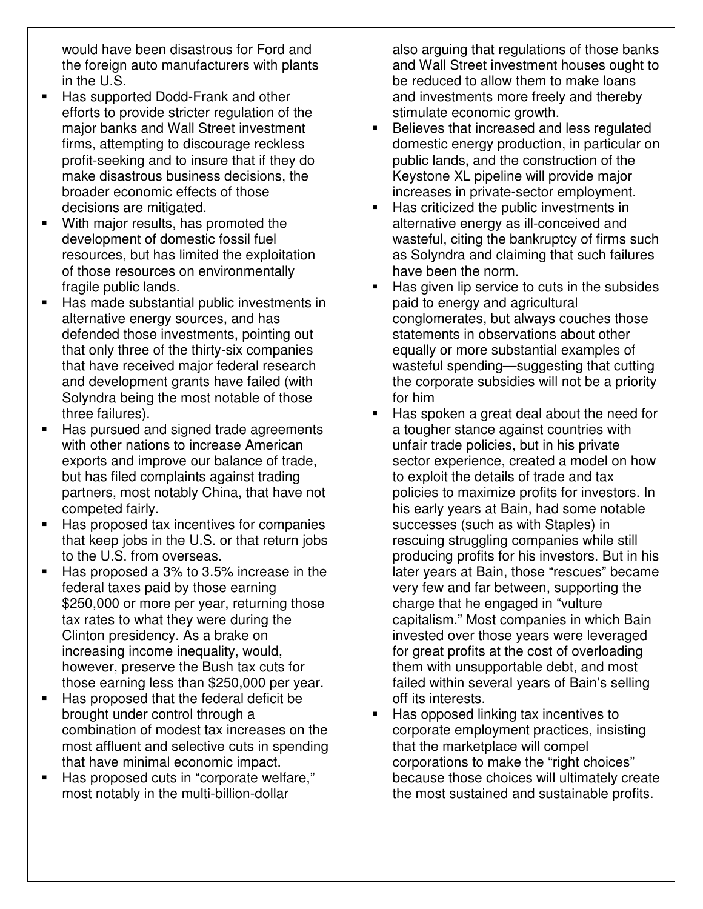would have been disastrous for Ford and the foreign auto manufacturers with plants in the U.S.

- Has supported Dodd-Frank and other efforts to provide stricter regulation of the major banks and Wall Street investment firms, attempting to discourage reckless profit-seeking and to insure that if they do make disastrous business decisions, the broader economic effects of those decisions are mitigated.
- With major results, has promoted the development of domestic fossil fuel resources, but has limited the exploitation of those resources on environmentally fragile public lands.
- Has made substantial public investments in alternative energy sources, and has defended those investments, pointing out that only three of the thirty-six companies that have received major federal research and development grants have failed (with Solyndra being the most notable of those three failures).
- Has pursued and signed trade agreements with other nations to increase American exports and improve our balance of trade, but has filed complaints against trading partners, most notably China, that have not competed fairly.
- Has proposed tax incentives for companies that keep jobs in the U.S. or that return jobs to the U.S. from overseas.
- Has proposed a 3% to 3.5% increase in the federal taxes paid by those earning \$250,000 or more per year, returning those tax rates to what they were during the Clinton presidency. As a brake on increasing income inequality, would, however, preserve the Bush tax cuts for those earning less than \$250,000 per year.
- Has proposed that the federal deficit be brought under control through a combination of modest tax increases on the most affluent and selective cuts in spending that have minimal economic impact.
- Has proposed cuts in "corporate welfare," most notably in the multi-billion-dollar

also arguing that regulations of those banks and Wall Street investment houses ought to be reduced to allow them to make loans and investments more freely and thereby stimulate economic growth.

- **Believes that increased and less regulated** domestic energy production, in particular on public lands, and the construction of the Keystone XL pipeline will provide major increases in private-sector employment.
- Has criticized the public investments in alternative energy as ill-conceived and wasteful, citing the bankruptcy of firms such as Solyndra and claiming that such failures have been the norm.
- $\blacksquare$  Has given lip service to cuts in the subsides paid to energy and agricultural conglomerates, but always couches those statements in observations about other equally or more substantial examples of wasteful spending—suggesting that cutting the corporate subsidies will not be a priority for him
- Has spoken a great deal about the need for a tougher stance against countries with unfair trade policies, but in his private sector experience, created a model on how to exploit the details of trade and tax policies to maximize profits for investors. In his early years at Bain, had some notable successes (such as with Staples) in rescuing struggling companies while still producing profits for his investors. But in his later years at Bain, those "rescues" became very few and far between, supporting the charge that he engaged in "vulture capitalism." Most companies in which Bain invested over those years were leveraged for great profits at the cost of overloading them with unsupportable debt, and most failed within several years of Bain's selling off its interests.
- Has opposed linking tax incentives to corporate employment practices, insisting that the marketplace will compel corporations to make the "right choices" because those choices will ultimately create the most sustained and sustainable profits.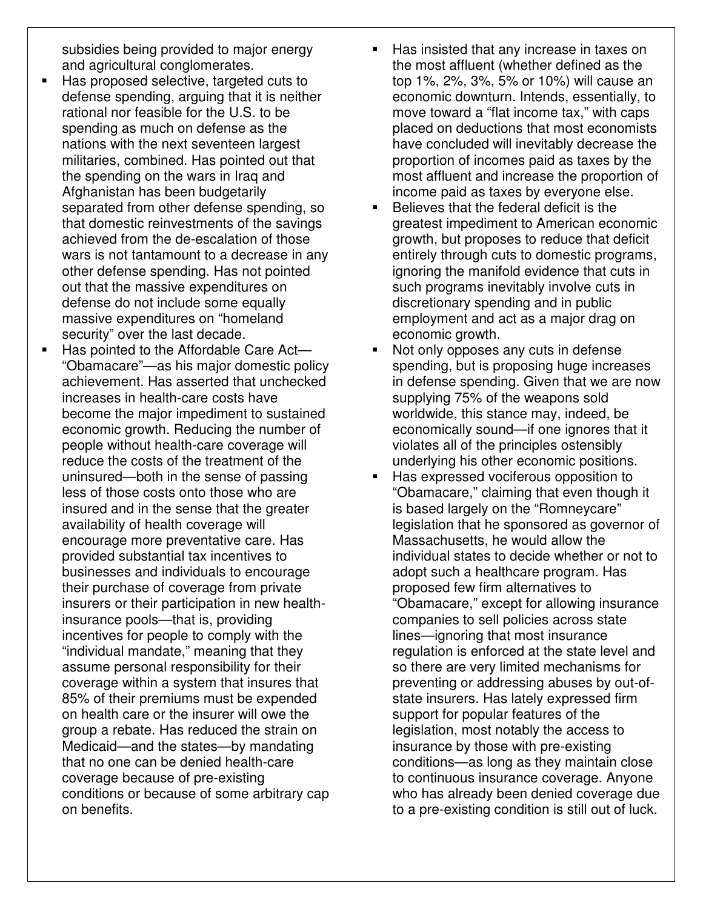subsidies being provided to major energy and agricultural conglomerates.

- Has proposed selective, targeted cuts to defense spending, arguing that it is neither rational nor feasible for the U.S. to be spending as much on defense as the nations with the next seventeen largest militaries, combined. Has pointed out that the spending on the wars in Iraq and Afghanistan has been budgetarily separated from other defense spending, so that domestic reinvestments of the savings achieved from the de-escalation of those wars is not tantamount to a decrease in any other defense spending. Has not pointed out that the massive expenditures on defense do not include some equally massive expenditures on "homeland security" over the last decade.
- Has pointed to the Affordable Care Act— "Obamacare"—as his major domestic policy achievement. Has asserted that unchecked increases in health-care costs have become the major impediment to sustained economic growth. Reducing the number of people without health-care coverage will reduce the costs of the treatment of the uninsured—both in the sense of passing less of those costs onto those who are insured and in the sense that the greater availability of health coverage will encourage more preventative care. Has provided substantial tax incentives to businesses and individuals to encourage their purchase of coverage from private insurers or their participation in new healthinsurance pools—that is, providing incentives for people to comply with the "individual mandate," meaning that they assume personal responsibility for their coverage within a system that insures that 85% of their premiums must be expended on health care or the insurer will owe the group a rebate. Has reduced the strain on Medicaid—and the states—by mandating that no one can be denied health-care coverage because of pre-existing conditions or because of some arbitrary cap on benefits.
- Has insisted that any increase in taxes on the most affluent (whether defined as the top 1%, 2%, 3%, 5% or 10%) will cause an economic downturn. Intends, essentially, to move toward a "flat income tax," with caps placed on deductions that most economists have concluded will inevitably decrease the proportion of incomes paid as taxes by the most affluent and increase the proportion of income paid as taxes by everyone else.
- Believes that the federal deficit is the greatest impediment to American economic growth, but proposes to reduce that deficit entirely through cuts to domestic programs, ignoring the manifold evidence that cuts in such programs inevitably involve cuts in discretionary spending and in public employment and act as a major drag on economic growth.
- Not only opposes any cuts in defense spending, but is proposing huge increases in defense spending. Given that we are now supplying 75% of the weapons sold worldwide, this stance may, indeed, be economically sound—if one ignores that it violates all of the principles ostensibly underlying his other economic positions.
- Has expressed vociferous opposition to "Obamacare," claiming that even though it is based largely on the "Romneycare" legislation that he sponsored as governor of Massachusetts, he would allow the individual states to decide whether or not to adopt such a healthcare program. Has proposed few firm alternatives to "Obamacare," except for allowing insurance companies to sell policies across state lines—ignoring that most insurance regulation is enforced at the state level and so there are very limited mechanisms for preventing or addressing abuses by out-ofstate insurers. Has lately expressed firm support for popular features of the legislation, most notably the access to insurance by those with pre-existing conditions—as long as they maintain close to continuous insurance coverage. Anyone who has already been denied coverage due to a pre-existing condition is still out of luck.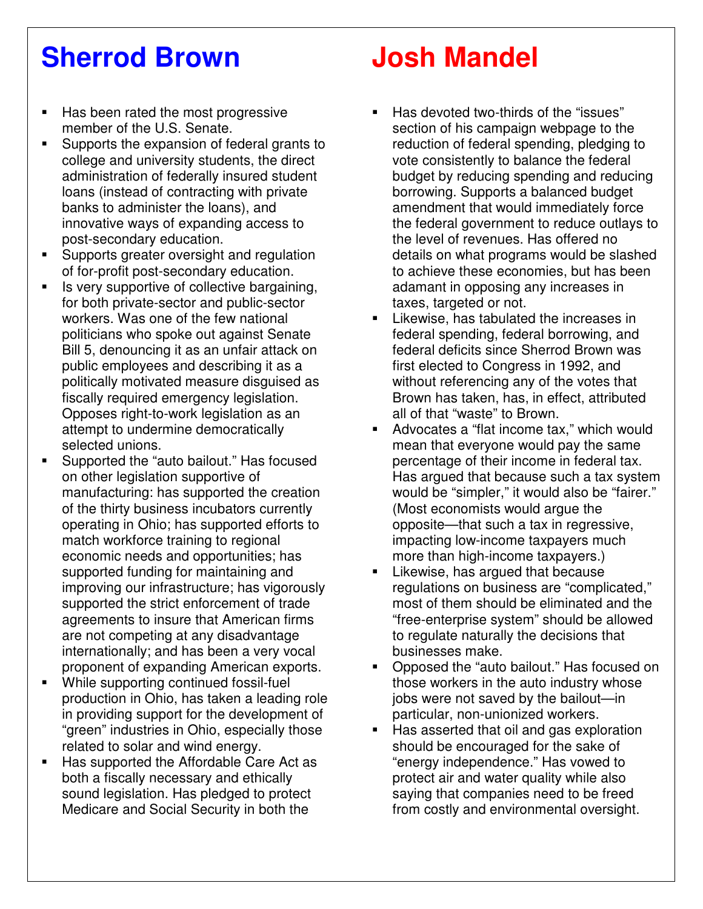## **Sherrod Brown**

- Has been rated the most progressive member of the U.S. Senate.
- Supports the expansion of federal grants to college and university students, the direct administration of federally insured student loans (instead of contracting with private banks to administer the loans), and innovative ways of expanding access to post-secondary education.
- Supports greater oversight and regulation of for-profit post-secondary education.
- Is very supportive of collective bargaining, for both private-sector and public-sector workers. Was one of the few national politicians who spoke out against Senate Bill 5, denouncing it as an unfair attack on public employees and describing it as a politically motivated measure disguised as fiscally required emergency legislation. Opposes right-to-work legislation as an attempt to undermine democratically selected unions.
- Supported the "auto bailout." Has focused on other legislation supportive of manufacturing: has supported the creation of the thirty business incubators currently operating in Ohio; has supported efforts to match workforce training to regional economic needs and opportunities; has supported funding for maintaining and improving our infrastructure; has vigorously supported the strict enforcement of trade agreements to insure that American firms are not competing at any disadvantage internationally; and has been a very vocal proponent of expanding American exports.
- While supporting continued fossil-fuel production in Ohio, has taken a leading role in providing support for the development of "green" industries in Ohio, especially those related to solar and wind energy.
- Has supported the Affordable Care Act as both a fiscally necessary and ethically sound legislation. Has pledged to protect Medicare and Social Security in both the

## **Josh Mandel**

- Has devoted two-thirds of the "issues" section of his campaign webpage to the reduction of federal spending, pledging to vote consistently to balance the federal budget by reducing spending and reducing borrowing. Supports a balanced budget amendment that would immediately force the federal government to reduce outlays to the level of revenues. Has offered no details on what programs would be slashed to achieve these economies, but has been adamant in opposing any increases in taxes, targeted or not.
- Likewise, has tabulated the increases in federal spending, federal borrowing, and federal deficits since Sherrod Brown was first elected to Congress in 1992, and without referencing any of the votes that Brown has taken, has, in effect, attributed all of that "waste" to Brown.
- Advocates a "flat income tax," which would mean that everyone would pay the same percentage of their income in federal tax. Has argued that because such a tax system would be "simpler," it would also be "fairer." (Most economists would argue the opposite—that such a tax in regressive, impacting low-income taxpayers much more than high-income taxpayers.)
- **EXEC** Likewise, has argued that because regulations on business are "complicated," most of them should be eliminated and the "free-enterprise system" should be allowed to regulate naturally the decisions that businesses make.
- Opposed the "auto bailout." Has focused on those workers in the auto industry whose jobs were not saved by the bailout—in particular, non-unionized workers.
- Has asserted that oil and gas exploration should be encouraged for the sake of "energy independence." Has vowed to protect air and water quality while also saying that companies need to be freed from costly and environmental oversight.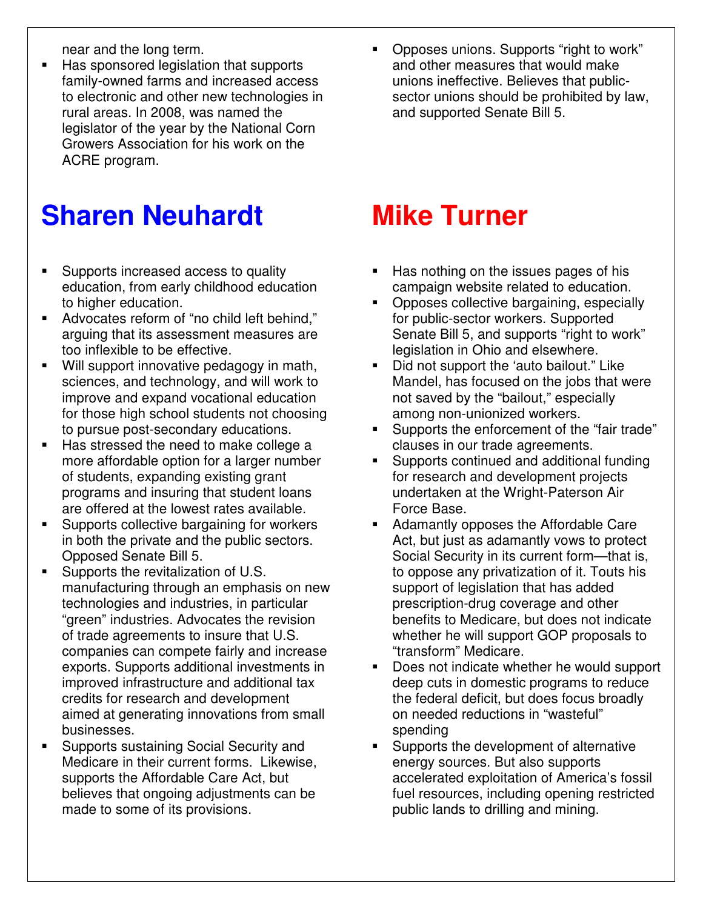near and the long term.

■ Has sponsored legislation that supports family-owned farms and increased access to electronic and other new technologies in rural areas. In 2008, was named the legislator of the year by the National Corn Growers Association for his work on the ACRE program.

## **Sharen Neuhardt**

- **Supports increased access to quality** education, from early childhood education to higher education.
- Advocates reform of "no child left behind," arguing that its assessment measures are too inflexible to be effective.
- Will support innovative pedagogy in math, sciences, and technology, and will work to improve and expand vocational education for those high school students not choosing to pursue post-secondary educations.
- Has stressed the need to make college a more affordable option for a larger number of students, expanding existing grant programs and insuring that student loans are offered at the lowest rates available.
- **Supports collective bargaining for workers** in both the private and the public sectors. Opposed Senate Bill 5.
- Supports the revitalization of U.S. manufacturing through an emphasis on new technologies and industries, in particular "green" industries. Advocates the revision of trade agreements to insure that U.S. companies can compete fairly and increase exports. Supports additional investments in improved infrastructure and additional tax credits for research and development aimed at generating innovations from small businesses.
- Supports sustaining Social Security and Medicare in their current forms. Likewise, supports the Affordable Care Act, but believes that ongoing adjustments can be made to some of its provisions.

 Opposes unions. Supports "right to work" and other measures that would make unions ineffective. Believes that publicsector unions should be prohibited by law, and supported Senate Bill 5.

### **Mike Turner**

- Has nothing on the issues pages of his campaign website related to education.
- Opposes collective bargaining, especially for public-sector workers. Supported Senate Bill 5, and supports "right to work" legislation in Ohio and elsewhere.
- Did not support the 'auto bailout." Like Mandel, has focused on the jobs that were not saved by the "bailout," especially among non-unionized workers.
- **Supports the enforcement of the "fair trade"** clauses in our trade agreements.
- Supports continued and additional funding for research and development projects undertaken at the Wright-Paterson Air Force Base.
- Adamantly opposes the Affordable Care Act, but just as adamantly vows to protect Social Security in its current form—that is, to oppose any privatization of it. Touts his support of legislation that has added prescription-drug coverage and other benefits to Medicare, but does not indicate whether he will support GOP proposals to "transform" Medicare.
- Does not indicate whether he would support deep cuts in domestic programs to reduce the federal deficit, but does focus broadly on needed reductions in "wasteful" spending
- **Supports the development of alternative** energy sources. But also supports accelerated exploitation of America's fossil fuel resources, including opening restricted public lands to drilling and mining.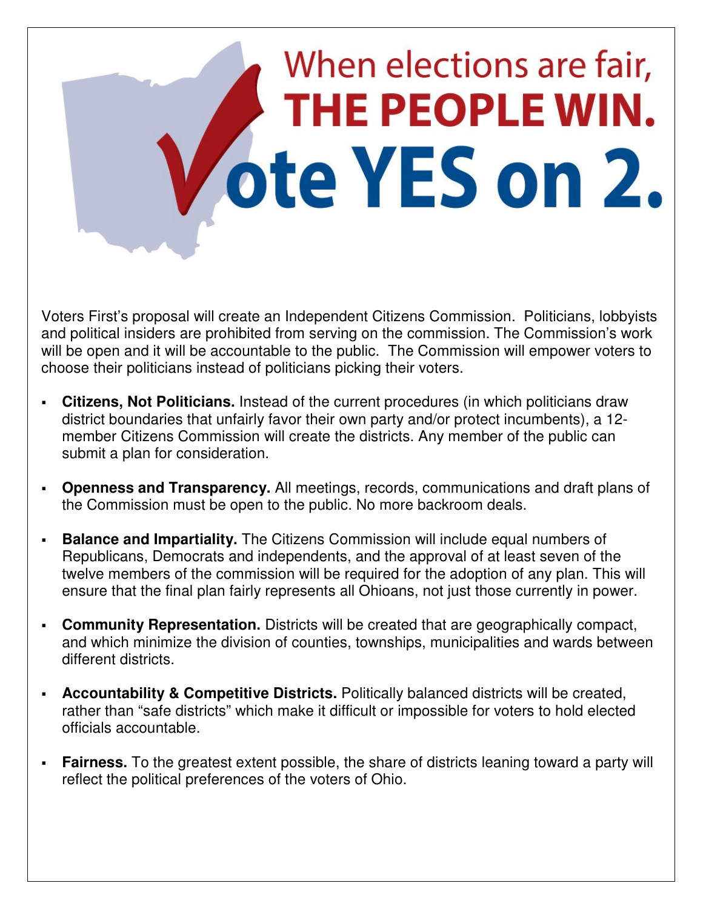# When elections are fair, THE PEOPLE WIN. ote YES on 2.

Voters First's proposal will create an Independent Citizens Commission. Politicians, lobbyists and political insiders are prohibited from serving on the commission. The Commission's work will be open and it will be accountable to the public. The Commission will empower voters to choose their politicians instead of politicians picking their voters.

- **Citizens, Not Politicians.** Instead of the current procedures (in which politicians draw district boundaries that unfairly favor their own party and/or protect incumbents), a 12 member Citizens Commission will create the districts. Any member of the public can submit a plan for consideration.
- **Openness and Transparency.** All meetings, records, communications and draft plans of the Commission must be open to the public. No more backroom deals.
- **Balance and Impartiality.** The Citizens Commission will include equal numbers of Republicans, Democrats and independents, and the approval of at least seven of the twelve members of the commission will be required for the adoption of any plan. This will ensure that the final plan fairly represents all Ohioans, not just those currently in power.
- **Community Representation.** Districts will be created that are geographically compact, and which minimize the division of counties, townships, municipalities and wards between different districts.
- **Accountability & Competitive Districts.** Politically balanced districts will be created, rather than "safe districts" which make it difficult or impossible for voters to hold elected officials accountable.
- **Fairness.** To the greatest extent possible, the share of districts leaning toward a party will reflect the political preferences of the voters of Ohio.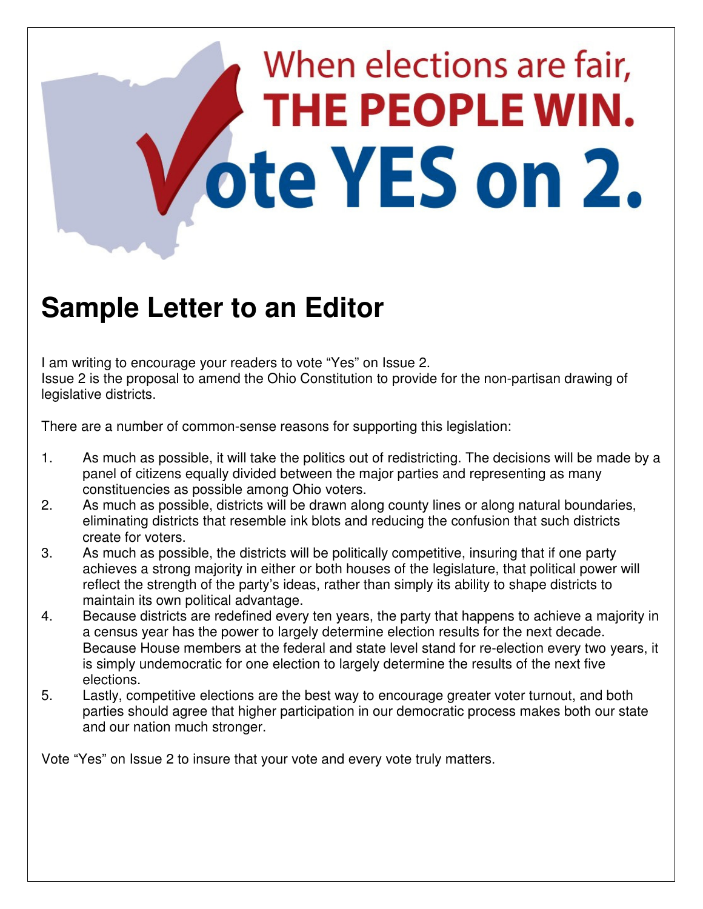## When elections are fair, THE PEOPLE WIN. ote YES on 2.

### **Sample Letter to an Editor**

I am writing to encourage your readers to vote "Yes" on Issue 2. Issue 2 is the proposal to amend the Ohio Constitution to provide for the non-partisan drawing of legislative districts.

There are a number of common-sense reasons for supporting this legislation:

- 1. As much as possible, it will take the politics out of redistricting. The decisions will be made by a panel of citizens equally divided between the major parties and representing as many constituencies as possible among Ohio voters.
- 2. As much as possible, districts will be drawn along county lines or along natural boundaries, eliminating districts that resemble ink blots and reducing the confusion that such districts create for voters.
- 3. As much as possible, the districts will be politically competitive, insuring that if one party achieves a strong majority in either or both houses of the legislature, that political power will reflect the strength of the party's ideas, rather than simply its ability to shape districts to maintain its own political advantage.
- 4. Because districts are redefined every ten years, the party that happens to achieve a majority in a census year has the power to largely determine election results for the next decade. Because House members at the federal and state level stand for re-election every two years, it is simply undemocratic for one election to largely determine the results of the next five elections.
- 5. Lastly, competitive elections are the best way to encourage greater voter turnout, and both parties should agree that higher participation in our democratic process makes both our state and our nation much stronger.

Vote "Yes" on Issue 2 to insure that your vote and every vote truly matters.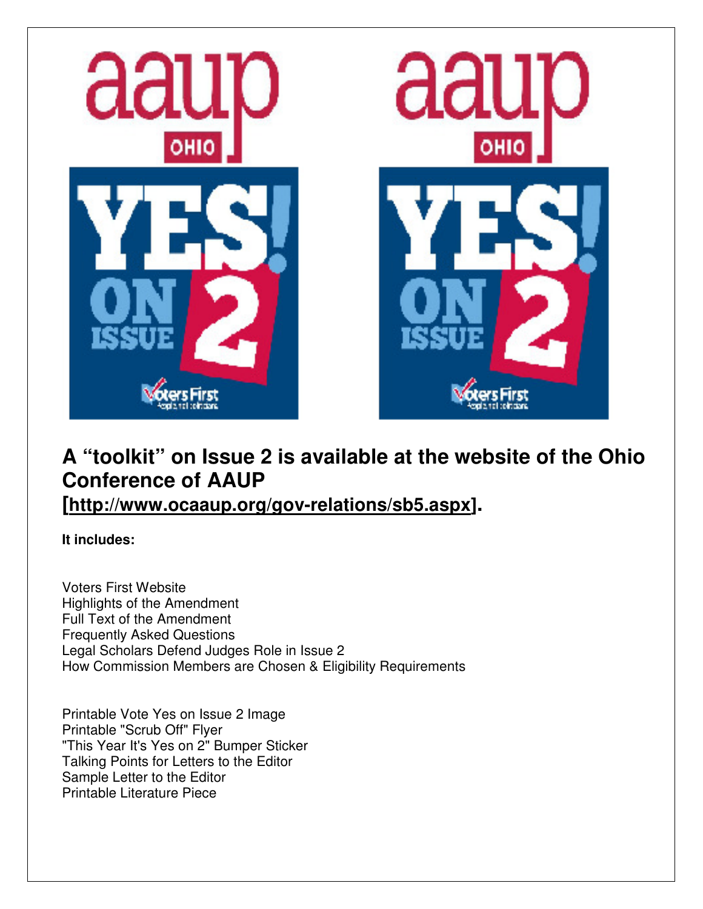

#### **A "toolkit" on Issue 2 is available at the website of the Ohio Conference of AAUP**

**[http://www.ocaaup.org/gov-relations/sb5.aspx].** 

**It includes:** 

Voters First Website Highlights of the Amendment Full Text of the Amendment Frequently Asked Questions Legal Scholars Defend Judges Role in Issue 2 How Commission Members are Chosen & Eligibility Requirements

Printable Vote Yes on Issue 2 Image Printable "Scrub Off" Flyer "This Year It's Yes on 2" Bumper Sticker Talking Points for Letters to the Editor Sample Letter to the Editor Printable Literature Piece